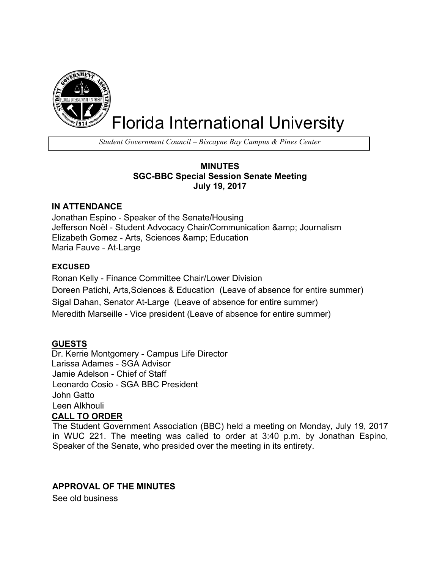

# Florida International University

*Student Government Council – Biscayne Bay Campus & Pines Center*

## **MINUTES SGC-BBC Special Session Senate Meeting July 19, 2017**

## **IN ATTENDANCE**

Jonathan Espino - Speaker of the Senate/Housing Jefferson Noël - Student Advocacy Chair/Communication & amp; Journalism Elizabeth Gomez - Arts, Sciences & amp; Education Maria Fauve - At-Large

## **EXCUSED**

Ronan Kelly - Finance Committee Chair/Lower Division Doreen Patichi, Arts,Sciences & Education (Leave of absence for entire summer) Sigal Dahan, Senator At-Large (Leave of absence for entire summer) Meredith Marseille - Vice president (Leave of absence for entire summer)

## **GUESTS**

Dr. Kerrie Montgomery - Campus Life Director Larissa Adames - SGA Advisor Jamie Adelson - Chief of Staff Leonardo Cosio - SGA BBC President John Gatto Leen Alkhouli

## **CALL TO ORDER**

The Student Government Association (BBC) held a meeting on Monday, July 19, 2017 in WUC 221. The meeting was called to order at 3:40 p.m. by Jonathan Espino, Speaker of the Senate, who presided over the meeting in its entirety.

## **APPROVAL OF THE MINUTES**

See old business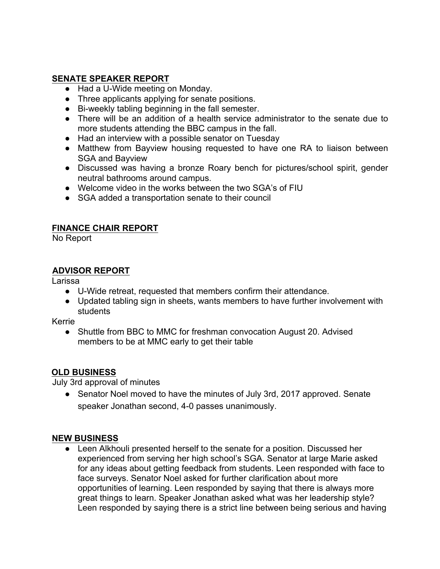## **SENATE SPEAKER REPORT**

- Had a U-Wide meeting on Monday.
- Three applicants applying for senate positions.
- Bi-weekly tabling beginning in the fall semester.
- There will be an addition of a health service administrator to the senate due to more students attending the BBC campus in the fall.
- Had an interview with a possible senator on Tuesday
- Matthew from Bayview housing requested to have one RA to liaison between SGA and Bayview
- Discussed was having a bronze Roary bench for pictures/school spirit, gender neutral bathrooms around campus.
- Welcome video in the works between the two SGA's of FIU
- SGA added a transportation senate to their council

## **FINANCE CHAIR REPORT**

No Report

## **ADVISOR REPORT**

Larissa

- U-Wide retreat, requested that members confirm their attendance.
- Updated tabling sign in sheets, wants members to have further involvement with students

Kerrie

• Shuttle from BBC to MMC for freshman convocation August 20. Advised members to be at MMC early to get their table

## **OLD BUSINESS**

July 3rd approval of minutes

• Senator Noel moved to have the minutes of July 3rd, 2017 approved. Senate speaker Jonathan second, 4-0 passes unanimously.

## **NEW BUSINESS**

● Leen Alkhouli presented herself to the senate for a position. Discussed her experienced from serving her high school's SGA. Senator at large Marie asked for any ideas about getting feedback from students. Leen responded with face to face surveys. Senator Noel asked for further clarification about more opportunities of learning. Leen responded by saying that there is always more great things to learn. Speaker Jonathan asked what was her leadership style? Leen responded by saying there is a strict line between being serious and having